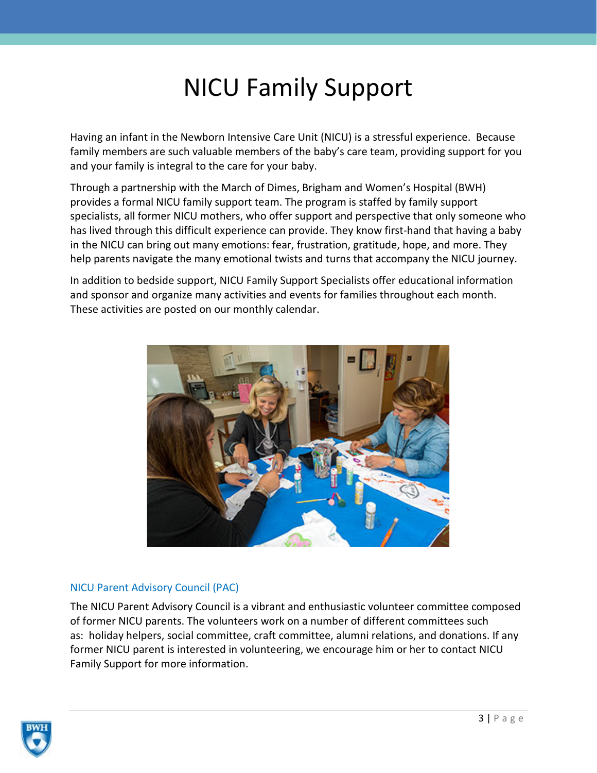## NICU Family Support

Having an infant in the Newborn Intensive Care Unit (NICU) is a stressful experience. Because family members are such valuable members of the baby's care team, providing support for you and your family is integral to the care for your baby.

Through a partnership with the March of Dimes, Brigham and Women's Hospital (BWH) provides a formal NICU family support team. The program is staffed by family support specialists, all former NICU mothers, who offer support and perspective that only someone who has lived through this difficult experience can provide. They know first-hand that having a baby in the NICU can bring out many emotions: fear, frustration, gratitude, hope, and more. They help parents navigate the many emotional twists and turns that accompany the NICU journey.

In addition to bedside support, NICU Family Support Specialists offer educational information and sponsor and organize many activities and events for families throughout each month. These activities are posted on our monthly calendar.



## NICU Parent Advisory Council (PAC)

The NICU Parent Advisory Council is a vibrant and enthusiastic volunteer committee composed of former NICU parents. The volunteers work on a number of different committees such as: holiday helpers, social committee, craft committee, alumni relations, and donations. If any former NICU parent is interested in volunteering, we encourage him or her to contact [NICU](mailto:gschumacher@partners.org)  [Family Support](mailto:gschumacher@partners.org) for more information.